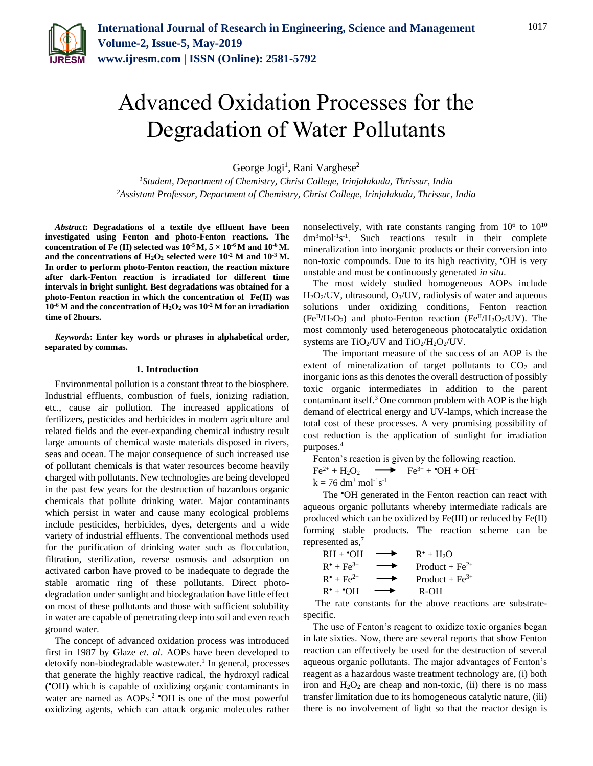

# Advanced Oxidation Processes for the Degradation of Water Pollutants

George Jogi<sup>1</sup>, Rani Varghese<sup>2</sup>

*<sup>1</sup>Student, Department of Chemistry, Christ College, Irinjalakuda, Thrissur, India 2Assistant Professor, Department of Chemistry, Christ College, Irinjalakuda, Thrissur, India*

*Abstract***: Degradations of a textile dye effluent have been investigated using Fenton and photo-Fenton reactions. The concentration of Fe (II) selected was**  $10^{-5}$  **M,**  $5 \times 10^{-6}$  **M and**  $10^{-6}$  **M. and the concentrations of H2O<sup>2</sup> selected were 10-2 M and 10-3 M. In order to perform photo-Fenton reaction, the reaction mixture after dark-Fenton reaction is irradiated for different time intervals in bright sunlight. Best degradations was obtained for a photo-Fenton reaction in which the concentration of Fe(II) was 10-6 M and the concentration of H2O<sup>2</sup> was 10-2 M for an irradiation time of 2hours.**

*Keywords***: Enter key words or phrases in alphabetical order, separated by commas.** 

#### **1. Introduction**

Environmental pollution is a constant threat to the biosphere. Industrial effluents, combustion of fuels, ionizing radiation, etc., cause air pollution. The increased applications of fertilizers, pesticides and herbicides in modern agriculture and related fields and the ever-expanding chemical industry result large amounts of chemical waste materials disposed in rivers, seas and ocean. The major consequence of such increased use of pollutant chemicals is that water resources become heavily charged with pollutants. New technologies are being developed in the past few years for the destruction of hazardous organic chemicals that pollute drinking water. Major contaminants which persist in water and cause many ecological problems include pesticides, herbicides, dyes, detergents and a wide variety of industrial effluents. The conventional methods used for the purification of drinking water such as flocculation, filtration, sterilization, reverse osmosis and adsorption on activated carbon have proved to be inadequate to degrade the stable aromatic ring of these pollutants. Direct photodegradation under sunlight and biodegradation have little effect on most of these pollutants and those with sufficient solubility in water are capable of penetrating deep into soil and even reach ground water.

The concept of advanced oxidation process was introduced first in 1987 by Glaze *et. al*. AOPs have been developed to detoxify non-biodegradable wastewater.<sup>1</sup> In general, processes that generate the highly reactive radical, the hydroxyl radical ( OH) which is capable of oxidizing organic contaminants in water are named as AOPs.<sup>2</sup> **OH** is one of the most powerful oxidizing agents, which can attack organic molecules rather

nonselectively, with rate constants ranging from  $10^6$  to  $10^{10}$  $dm<sup>3</sup>mol<sup>-1</sup>s<sup>-1</sup>$ . Such reactions result in their complete mineralization into inorganic products or their conversion into non-toxic compounds. Due to its high reactivity, "OH is very unstable and must be continuously generated *in situ*.

The most widely studied homogeneous AOPs include  $H<sub>2</sub>O<sub>2</sub>/UV$ , ultrasound,  $O<sub>3</sub>/UV$ , radiolysis of water and aqueous solutions under oxidizing conditions, Fenton reaction  $(Fe^{II}/H_2O_2)$  and photo-Fenton reaction  $(Fe^{II}/H_2O_2/UV)$ . The most commonly used heterogeneous photocatalytic oxidation systems are  $TiO<sub>2</sub>/UV$  and  $TiO<sub>2</sub>/H<sub>2</sub>O<sub>2</sub>/UV$ .

The important measure of the success of an AOP is the extent of mineralization of target pollutants to  $CO<sub>2</sub>$  and inorganic ions as this denotes the overall destruction of possibly toxic organic intermediates in addition to the parent contaminant itself.<sup>3</sup> One common problem with AOP is the high demand of electrical energy and UV-lamps, which increase the total cost of these processes. A very promising possibility of cost reduction is the application of sunlight for irradiation purposes.<sup>4</sup>

Fenton's reaction is given by the following reaction.

$$
Fe^{2+} + H_2O_2 \longrightarrow Fe^{3+} + {}^{*}OH + OH^{-}
$$
  
k = 76 dm<sup>3</sup> mol<sup>-1</sup>s<sup>-1</sup>

The **OH** generated in the Fenton reaction can react with aqueous organic pollutants whereby intermediate radicals are produced which can be oxidized by Fe(III) or reduced by Fe(II) forming stable products. The reaction scheme can be represented as,<sup>7</sup>

$$
RH + {}^{\bullet}OH \longrightarrow R^{\bullet} + H_2O
$$
  
\n
$$
R^{\bullet} + Fe^{3+} \longrightarrow Product + Fe^{2+}
$$
  
\n
$$
R^{\bullet} + Fe^{2+} \longrightarrow Product + Fe^{3+}
$$
  
\n
$$
R^{\bullet} + {}^{\bullet}OH \longrightarrow R-OH
$$

The rate constants for the above reactions are substratespecific.

The use of Fenton's reagent to oxidize toxic organics began in late sixties. Now, there are several reports that show Fenton reaction can effectively be used for the destruction of several aqueous organic pollutants. The major advantages of Fenton's reagent as a hazardous waste treatment technology are, (i) both iron and  $H_2O_2$  are cheap and non-toxic, (ii) there is no mass transfer limitation due to its homogeneous catalytic nature, (iii) there is no involvement of light so that the reactor design is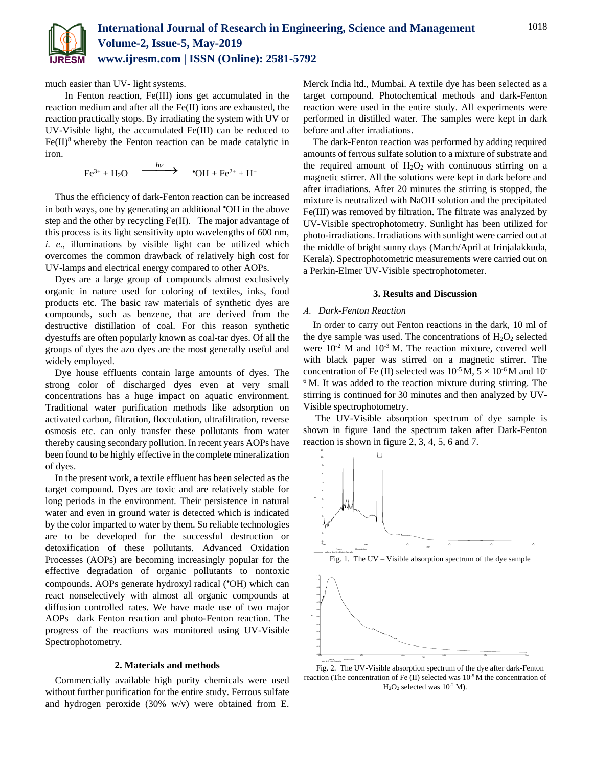

much easier than UV- light systems.

In Fenton reaction, Fe(III) ions get accumulated in the reaction medium and after all the Fe(II) ions are exhausted, the reaction practically stops. By irradiating the system with UV or UV-Visible light, the accumulated Fe(III) can be reduced to  $Fe(II)^8$  whereby the Fenton reaction can be made catalytic in iron.

$$
\text{Fe}^{3+} + \text{H}_2\text{O} \quad \xrightarrow{\quad h\nu \quad} \text{OH} + \text{Fe}^{2+} + \text{H}^+
$$

Thus the efficiency of dark-Fenton reaction can be increased in both ways, one by generating an additional **OH** in the above step and the other by recycling Fe(II). The major advantage of this process is its light sensitivity upto wavelengths of 600 nm, *i. e*., illuminations by visible light can be utilized which overcomes the common drawback of relatively high cost for UV-lamps and electrical energy compared to other AOPs.

Dyes are a large group of compounds almost exclusively organic in nature used for coloring of textiles, inks, food products etc. The basic raw materials of synthetic dyes are compounds, such as benzene, that are derived from the destructive distillation of coal. For this reason synthetic dyestuffs are often popularly known as coal-tar dyes. Of all the groups of dyes the azo dyes are the most generally useful and widely employed.

Dye house effluents contain large amounts of dyes. The strong color of discharged dyes even at very small concentrations has a huge impact on aquatic environment. Traditional water purification methods like adsorption on activated carbon, filtration, flocculation, ultrafiltration, reverse osmosis etc. can only transfer these pollutants from water thereby causing secondary pollution. In recent years AOPs have been found to be highly effective in the complete mineralization of dyes.

In the present work, a textile effluent has been selected as the target compound. Dyes are toxic and are relatively stable for long periods in the environment. Their persistence in natural water and even in ground water is detected which is indicated by the color imparted to water by them. So reliable technologies are to be developed for the successful destruction or detoxification of these pollutants. Advanced Oxidation Processes (AOPs) are becoming increasingly popular for the effective degradation of organic pollutants to nontoxic compounds. AOPs generate hydroxyl radical (\*OH) which can react nonselectively with almost all organic compounds at diffusion controlled rates. We have made use of two major AOPs –dark Fenton reaction and photo-Fenton reaction. The progress of the reactions was monitored using UV-Visible Spectrophotometry.

# **2. Materials and methods**

Commercially available high purity chemicals were used without further purification for the entire study. Ferrous sulfate and hydrogen peroxide (30% w/v) were obtained from E.

Merck India ltd., Mumbai. A textile dye has been selected as a target compound. Photochemical methods and dark-Fenton reaction were used in the entire study. All experiments were performed in distilled water. The samples were kept in dark before and after irradiations.

The dark-Fenton reaction was performed by adding required amounts of ferrous sulfate solution to a mixture of substrate and the required amount of  $H_2O_2$  with continuous stirring on a magnetic stirrer. All the solutions were kept in dark before and after irradiations. After 20 minutes the stirring is stopped, the mixture is neutralized with NaOH solution and the precipitated Fe(III) was removed by filtration. The filtrate was analyzed by UV-Visible spectrophotometry. Sunlight has been utilized for photo-irradiations. Irradiations with sunlight were carried out at the middle of bright sunny days (March/April at Irinjalakkuda, Kerala). Spectrophotometric measurements were carried out on a Perkin-Elmer UV-Visible spectrophotometer.

# **3. Results and Discussion**

## *A. Dark-Fenton Reaction*

In order to carry out Fenton reactions in the dark, 10 ml of the dye sample was used. The concentrations of  $H_2O_2$  selected were  $10^{-2}$  M and  $10^{-3}$  M. The reaction mixture, covered well with black paper was stirred on a magnetic stirrer. The concentration of Fe (II) selected was  $10^{-5}$  M,  $5 \times 10^{-6}$  M and 10<sup>-</sup>  $6$  M. It was added to the reaction mixture during stirring. The stirring is continued for 30 minutes and then analyzed by UV-Visible spectrophotometry.

The UV-Visible absorption spectrum of dye sample is shown in figure 1and the spectrum taken after Dark-Fenton reaction is shown in figure 2, 3, 4, 5, 6 and 7.







Fig. 2. The UV-Visible absorption spectrum of the dye after dark-Fenton reaction (The concentration of Fe  $(II)$  selected was  $10^{-5}$  M the concentration of  $H<sub>2</sub>O<sub>2</sub>$  selected was 10<sup>-2</sup> M).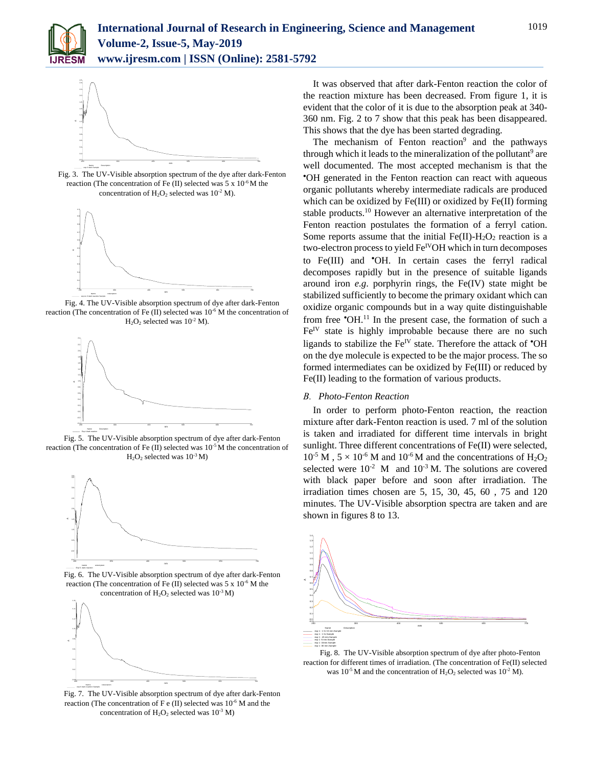



Fig. 3. The UV-Visible absorption spectrum of the dye after dark-Fenton reaction (The concentration of Fe  $(II)$  selected was 5 x  $10^{-6}$  M the concentration of  $H_2O_2$  selected was  $10^{-2}$  M).



Fig. 4. The UV-Visible absorption spectrum of dye after dark-Fenton reaction (The concentration of Fe (II) selected was 10<sup>-6</sup> M the concentration of  $H<sub>2</sub>O<sub>2</sub>$  selected was 10<sup>-2</sup> M).



Fig. 5. The UV-Visible absorption spectrum of dye after dark-Fenton reaction (The concentration of Fe (II) selected was 10<sup>-5</sup> M the concentration of  $H<sub>2</sub>O<sub>2</sub>$  selected was  $10<sup>-3</sup>M$ )



Fig. 6. The UV-Visible absorption spectrum of dye after dark-Fenton reaction (The concentration of Fe  $(II)$  selected was  $5 \times 10^{-6}$  M the concentration of  $H_2O_2$  selected was  $10^{-3}$  M)



Fig. 7.The UV-Visible absorption spectrum of dye after dark-Fenton reaction (The concentration of F e (II) selected was  $10^{-6}$  M and the concentration of  $H_2O_2$  selected was  $10^{-3}$  M)

It was observed that after dark-Fenton reaction the color of the reaction mixture has been decreased. From figure 1, it is evident that the color of it is due to the absorption peak at 340- 360 nm. Fig. 2 to 7 show that this peak has been disappeared. This shows that the dye has been started degrading.

The mechanism of Fenton reaction $9$  and the pathways through which it leads to the mineralization of the pollutant<sup>9</sup> are well documented. The most accepted mechanism is that the OH generated in the Fenton reaction can react with aqueous organic pollutants whereby intermediate radicals are produced which can be oxidized by Fe(III) or oxidized by Fe(II) forming stable products.<sup>10</sup> However an alternative interpretation of the Fenton reaction postulates the formation of a ferryl cation. Some reports assume that the initial  $Fe(II)$ -H<sub>2</sub>O<sub>2</sub> reaction is a two-electron process to yield  $\mathrm{Fe}^{\mathrm{IV}}\mathrm{OH}$  which in turn decomposes to Fe(III) and 'OH. In certain cases the ferryl radical decomposes rapidly but in the presence of suitable ligands around iron *e.g*. porphyrin rings, the Fe(IV) state might be stabilized sufficiently to become the primary oxidant which can oxidize organic compounds but in a way quite distinguishable from free 'OH.<sup>11</sup> In the present case, the formation of such a  $Fe<sup>IV</sup>$  state is highly improbable because there are no such ligands to stabilize the  $\text{Fe}^{\text{IV}}$  state. Therefore the attack of  $\text{O}H$ on the dye molecule is expected to be the major process. The so formed intermediates can be oxidized by Fe(III) or reduced by Fe(II) leading to the formation of various products.

## *B. Photo-Fenton Reaction*

In order to perform photo-Fenton reaction, the reaction mixture after dark-Fenton reaction is used. 7 ml of the solution is taken and irradiated for different time intervals in bright sunlight. Three different concentrations of Fe(II) were selected,  $10^{-5}$  M,  $5 \times 10^{-6}$  M and  $10^{-6}$  M and the concentrations of H<sub>2</sub>O<sub>2</sub> selected were  $10^{-2}$  M and  $10^{-3}$  M. The solutions are covered with black paper before and soon after irradiation. The irradiation times chosen are 5, 15, 30, 45, 60 , 75 and 120 minutes. The UV-Visible absorption spectra are taken and are shown in figures 8 to 13.



Fig. 8. The UV-Visible absorption spectrum of dye after photo-Fenton reaction for different times of irradiation. (The concentration of Fe(II) selected was  $10^{-5}$  M and the concentration of  $H_2O_2$  selected was  $10^{-2}$  M).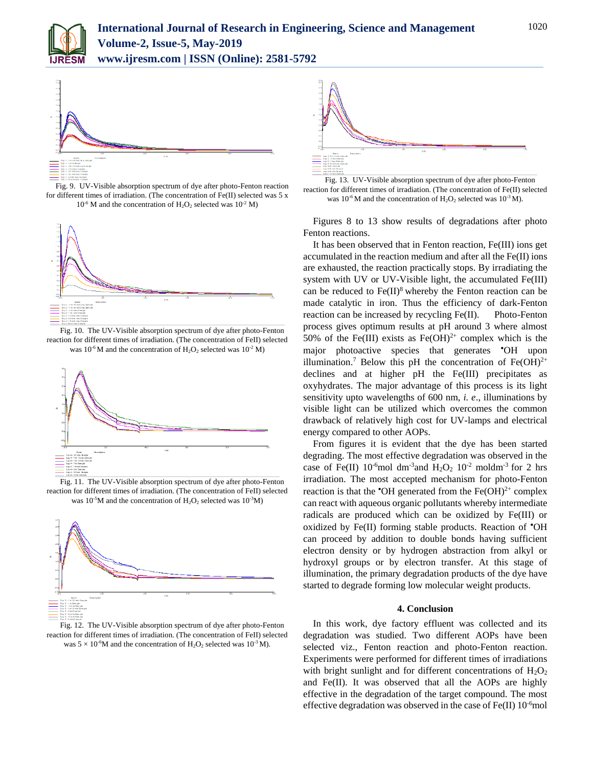



Fig. 9. UV-Visible absorption spectrum of dye after photo-Fenton reaction for different times of irradiation. (The concentration of Fe(II) selected was 5 x  $10^{-6}$  M and the concentration of H<sub>2</sub>O<sub>2</sub> selected was  $10^{-2}$  M)



Fig. 10. The UV-Visible absorption spectrum of dye after photo-Fenton reaction for different times of irradiation. (The concentration of FeII) selected was  $10^{-6}$  M and the concentration of  $H_2O_2$  selected was  $10^{-2}$  M)



Fig. 11. The UV-Visible absorption spectrum of dye after photo-Fenton reaction for different times of irradiation. (The concentration of FeII) selected was 10<sup>-5</sup>M and the concentration of  $H_2O_2$  selected was 10<sup>-3</sup>M)



Fig. 12. The UV-Visible absorption spectrum of dye after photo-Fenton reaction for different times of irradiation. (The concentration of FeII) selected was  $5 \times 10^{-6}$ M and the concentration of H<sub>2</sub>O<sub>2</sub> selected was 10<sup>-3</sup> M).



Fig. 13. UV-Visible absorption spectrum of dye after photo-Fenton reaction for different times of irradiation. (The concentration of Fe(II) selected was  $10^{-6}$ M and the concentration of  $H_2O_2$  selected was  $10^{-3}$  M).

Figures 8 to 13 show results of degradations after photo Fenton reactions.

It has been observed that in Fenton reaction, Fe(III) ions get accumulated in the reaction medium and after all the Fe(II) ions are exhausted, the reaction practically stops. By irradiating the system with UV or UV-Visible light, the accumulated Fe(III) can be reduced to  $Fe(II)^8$  whereby the Fenton reaction can be made catalytic in iron. Thus the efficiency of dark-Fenton reaction can be increased by recycling Fe(II). Photo-Fenton process gives optimum results at pH around 3 where almost 50% of the Fe(III) exists as Fe(OH)<sup>2+</sup> complex which is the major photoactive species that generates **OH** upon illumination.<sup>7</sup> Below this pH the concentration of  $Fe(OH)^{2+}$ declines and at higher pH the Fe(III) precipitates as oxyhydrates. The major advantage of this process is its light sensitivity upto wavelengths of 600 nm, *i. e*., illuminations by visible light can be utilized which overcomes the common drawback of relatively high cost for UV-lamps and electrical energy compared to other AOPs.

From figures it is evident that the dye has been started degrading. The most effective degradation was observed in the case of Fe(II)  $10^{-6}$ mol dm<sup>-3</sup> and H<sub>2</sub>O<sub>2</sub>  $10^{-2}$  moldm<sup>-3</sup> for 2 hrs irradiation. The most accepted mechanism for photo-Fenton reaction is that the  $\text{OH}$  generated from the Fe(OH)<sup>2+</sup> complex can react with aqueous organic pollutants whereby intermediate radicals are produced which can be oxidized by Fe(III) or oxidized by Fe(II) forming stable products. Reaction of 'OH can proceed by addition to double bonds having sufficient electron density or by hydrogen abstraction from alkyl or hydroxyl groups or by electron transfer. At this stage of illumination, the primary degradation products of the dye have started to degrade forming low molecular weight products.

### **4. Conclusion**

In this work, dye factory effluent was collected and its degradation was studied. Two different AOPs have been selected viz., Fenton reaction and photo-Fenton reaction. Experiments were performed for different times of irradiations with bright sunlight and for different concentrations of  $H_2O_2$ and Fe(II). It was observed that all the AOPs are highly effective in the degradation of the target compound. The most effective degradation was observed in the case of Fe(II)  $10^{-6}$ mol